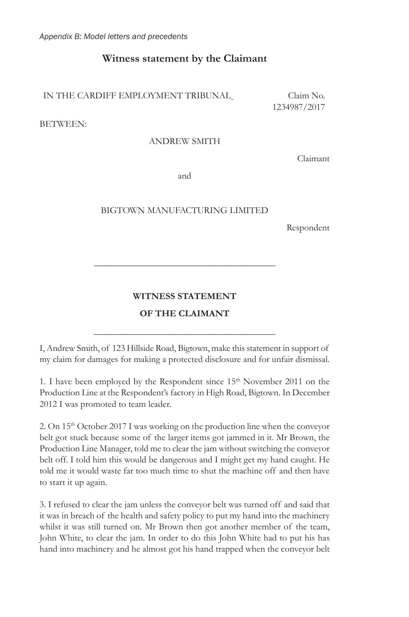*Appendix B: Model letters and precedents*

# **Witness statement by the Claimant**

IN THE CARDIFF EMPLOYMENT TRIBUNAL Claim No.

1234987/2017

BETWEEN:

ANDREW SMITH

Claimant

and

### BIGTOWN MANUFACTURING LIMITED

Respondent

## **WITNESS STATEMENT**

\_\_\_\_\_\_\_\_\_\_\_\_\_\_\_\_\_\_\_\_\_\_\_\_\_\_\_\_\_\_\_\_\_\_\_\_\_\_\_

# **OF THE CLAIMANT**  $\overline{\phantom{a}}$  , and the set of the set of the set of the set of the set of the set of the set of the set of the set of the set of the set of the set of the set of the set of the set of the set of the set of the set of the s

I, Andrew Smith, of 123 Hillside Road, Bigtown, make this statement in support of my claim for damages for making a protected disclosure and for unfair dismissal.

1. I have been employed by the Respondent since  $15<sup>th</sup>$  November 2011 on the Production Line at the Respondent's factory in High Road, Bigtown. In December 2012 I was promoted to team leader.

2. On 15<sup>th</sup> October 2017 I was working on the production line when the conveyor belt got stuck because some of the larger items got jammed in it. Mr Brown, the Production Line Manager, told me to clear the jam without switching the conveyor belt off. I told him this would be dangerous and I might get my hand caught. He told me it would waste far too much time to shut the machine off and then have to start it up again.

3. I refused to clear the jam unless the conveyor belt was turned off and said that it was in breach of the health and safety policy to put my hand into the machinery whilst it was still turned on. Mr Brown then got another member of the team, John White, to clear the jam. In order to do this John White had to put his has hand into machinery and he almost got his hand trapped when the conveyor belt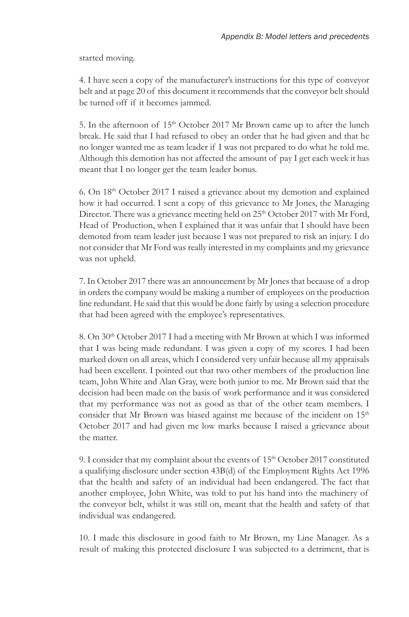started moving.

4. I have seen a copy of the manufacturer's instructions for this type of conveyor belt and at page 20 of this document it recommends that the conveyor belt should be turned off if it becomes jammed.

5. In the afternoon of  $15<sup>th</sup>$  October 2017 Mr Brown came up to after the lunch break. He said that I had refused to obey an order that he had given and that he no longer wanted me as team leader if I was not prepared to do what he told me. Although this demotion has not affected the amount of pay I get each week it has meant that I no longer get the team leader bonus.

6. On 18th October 2017 I raised a grievance about my demotion and explained how it had occurred. I sent a copy of this grievance to Mr Jones, the Managing Director. There was a grievance meeting held on 25<sup>th</sup> October 2017 with Mr Ford, Head of Production, when I explained that it was unfair that I should have been demoted from team leader just because I was not prepared to risk an injury. I do not consider that Mr Ford was really interested in my complaints and my grievance was not upheld.

7. In October 2017 there was an announcement by Mr Jones that because of a drop in orders the company would be making a number of employees on the production line redundant. He said that this would be done fairly by using a selection procedure that had been agreed with the employee's representatives.

8. On 30th October 2017 I had a meeting with Mr Brown at which I was informed that I was being made redundant. I was given a copy of my scores. I had been marked down on all areas, which I considered very unfair because all my appraisals had been excellent. I pointed out that two other members of the production line team, John White and Alan Gray, were both junior to me. Mr Brown said that the decision had been made on the basis of work performance and it was considered that my performance was not as good as that of the other team members. I consider that Mr Brown was biased against me because of the incident on  $15<sup>th</sup>$ October 2017 and had given me low marks because I raised a grievance about the matter.

9. I consider that my complaint about the events of  $15<sup>th</sup>$  October 2017 constituted a qualifying disclosure under section 43B(d) of the Employment Rights Act 1996 that the health and safety of an individual had been endangered. The fact that another employee, John White, was told to put his hand into the machinery of the conveyor belt, whilst it was still on, meant that the health and safety of that individual was endangered.

10. I made this disclosure in good faith to Mr Brown, my Line Manager. As a result of making this protected disclosure I was subjected to a detriment, that is